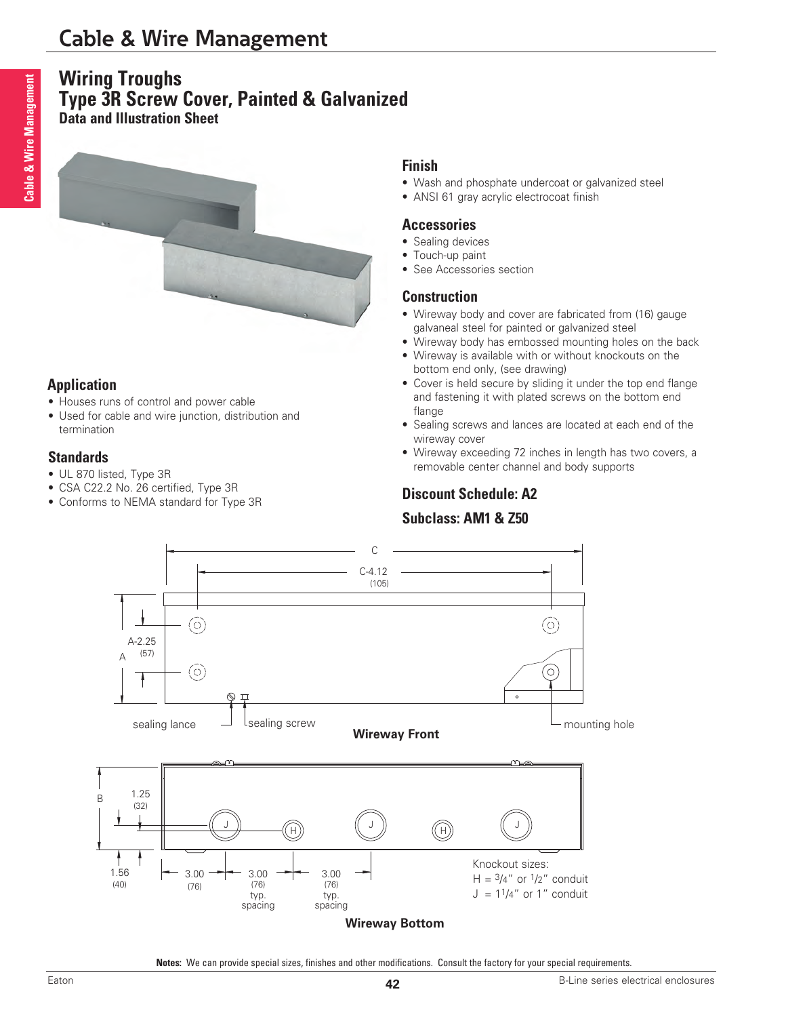# **Cable & Wire Management**

## **Wiring Troughs Type 3R Screw Cover, Painted & Galvanized**

**Data and Illustration Sheet**



#### **Application**

- Houses runs of control and power cable
- Used for cable and wire junction, distribution and termination

#### **Standards**

- UL 870 listed, Type 3R
- CSA C22.2 No. 26 certified, Type 3R
- Conforms to NEMA standard for Type 3R

#### **Finish**

- Wash and phosphate undercoat or galvanized steel
- ANSI 61 gray acrylic electrocoat finish

#### **Accessories**

- Sealing devices
- Touch-up paint
- See Accessories section

#### **Construction**

- Wireway body and cover are fabricated from (16) gauge galvaneal steel for painted or galvanized steel
- Wireway body has embossed mounting holes on the back
- Wireway is available with or without knockouts on the bottom end only, (see drawing)
- Cover is held secure by sliding it under the top end flange and fastening it with plated screws on the bottom end flange
- Sealing screws and lances are located at each end of the wireway cover
- Wireway exceeding 72 inches in length has two covers, a removable center channel and body supports

# **Discount Schedule: A2**

## **Subclass: AM1 & Z50**



**Notes:** We can provide special sizes, finishes and other modifications. Consult the factory for your special requirements.